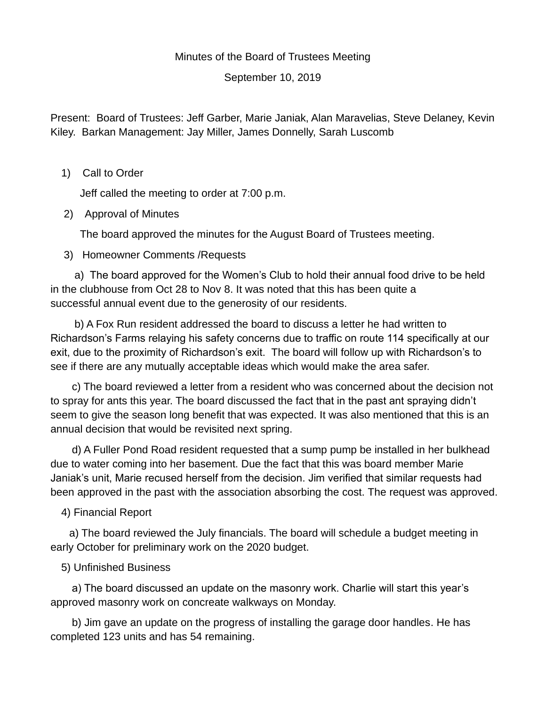## Minutes of the Board of Trustees Meeting

September 10, 2019

Present: Board of Trustees: Jeff Garber, Marie Janiak, Alan Maravelias, Steve Delaney, Kevin Kiley. Barkan Management: Jay Miller, James Donnelly, Sarah Luscomb

1) Call to Order

Jeff called the meeting to order at 7:00 p.m.

2) Approval of Minutes

The board approved the minutes for the August Board of Trustees meeting.

3) Homeowner Comments /Requests

a) The board approved for the Women's Club to hold their annual food drive to be held in the clubhouse from Oct 28 to Nov 8. It was noted that this has been quite a successful annual event due to the generosity of our residents.

b) A Fox Run resident addressed the board to discuss a letter he had written to Richardson's Farms relaying his safety concerns due to traffic on route 114 specifically at our exit, due to the proximity of Richardson's exit. The board will follow up with Richardson's to see if there are any mutually acceptable ideas which would make the area safer.

c) The board reviewed a letter from a resident who was concerned about the decision not to spray for ants this year. The board discussed the fact that in the past ant spraying didn't seem to give the season long benefit that was expected. It was also mentioned that this is an annual decision that would be revisited next spring.

d) A Fuller Pond Road resident requested that a sump pump be installed in her bulkhead due to water coming into her basement. Due the fact that this was board member Marie Janiak's unit, Marie recused herself from the decision. Jim verified that similar requests had been approved in the past with the association absorbing the cost. The request was approved.

## 4) Financial Report

a) The board reviewed the July financials. The board will schedule a budget meeting in early October for preliminary work on the 2020 budget.

## 5) Unfinished Business

a) The board discussed an update on the masonry work. Charlie will start this year's approved masonry work on concreate walkways on Monday.

b) Jim gave an update on the progress of installing the garage door handles. He has completed 123 units and has 54 remaining.